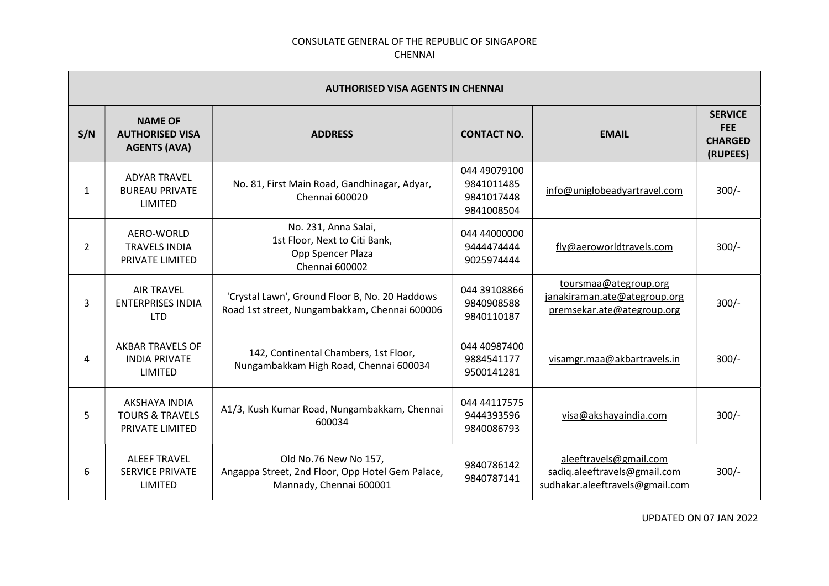| <b>AUTHORISED VISA AGENTS IN CHENNAI</b> |                                                                 |                                                                                                      |                                                        |                                                                                           |                                                            |  |
|------------------------------------------|-----------------------------------------------------------------|------------------------------------------------------------------------------------------------------|--------------------------------------------------------|-------------------------------------------------------------------------------------------|------------------------------------------------------------|--|
| S/N                                      | <b>NAME OF</b><br><b>AUTHORISED VISA</b><br><b>AGENTS (AVA)</b> | <b>ADDRESS</b>                                                                                       | <b>CONTACT NO.</b>                                     | <b>EMAIL</b>                                                                              | <b>SERVICE</b><br><b>FEE</b><br><b>CHARGED</b><br>(RUPEES) |  |
| 1                                        | <b>ADYAR TRAVEL</b><br><b>BUREAU PRIVATE</b><br>LIMITED         | No. 81, First Main Road, Gandhinagar, Adyar,<br>Chennai 600020                                       | 044 49079100<br>9841011485<br>9841017448<br>9841008504 | info@uniglobeadyartravel.com                                                              | $300/-$                                                    |  |
| $\overline{2}$                           | AERO-WORLD<br><b>TRAVELS INDIA</b><br>PRIVATE LIMITED           | No. 231, Anna Salai,<br>1st Floor, Next to Citi Bank,<br>Opp Spencer Plaza<br>Chennai 600002         | 044 44000000<br>9444474444<br>9025974444               | fly@aeroworldtravels.com                                                                  | $300/-$                                                    |  |
| 3                                        | <b>AIR TRAVEL</b><br><b>ENTERPRISES INDIA</b><br>LTD.           | 'Crystal Lawn', Ground Floor B, No. 20 Haddows<br>Road 1st street, Nungambakkam, Chennai 600006      | 044 39108866<br>9840908588<br>9840110187               | toursmaa@ategroup.org<br>janakiraman.ate@ategroup.org<br>premsekar.ate@ategroup.org       | $300/-$                                                    |  |
| 4                                        | <b>AKBAR TRAVELS OF</b><br><b>INDIA PRIVATE</b><br>LIMITED      | 142, Continental Chambers, 1st Floor,<br>Nungambakkam High Road, Chennai 600034                      | 044 40987400<br>9884541177<br>9500141281               | visamgr.maa@akbartravels.in                                                               | $300/-$                                                    |  |
| 5                                        | AKSHAYA INDIA<br><b>TOURS &amp; TRAVELS</b><br>PRIVATE LIMITED  | A1/3, Kush Kumar Road, Nungambakkam, Chennai<br>600034                                               | 044 44117575<br>9444393596<br>9840086793               | visa@akshayaindia.com                                                                     | $300/-$                                                    |  |
| 6                                        | <b>ALEEF TRAVEL</b><br><b>SERVICE PRIVATE</b><br>LIMITED        | Old No.76 New No 157,<br>Angappa Street, 2nd Floor, Opp Hotel Gem Palace,<br>Mannady, Chennai 600001 | 9840786142<br>9840787141                               | aleeftravels@gmail.com<br>sadiq.aleeftravels@gmail.com<br>sudhakar.aleeftravels@gmail.com | $300/-$                                                    |  |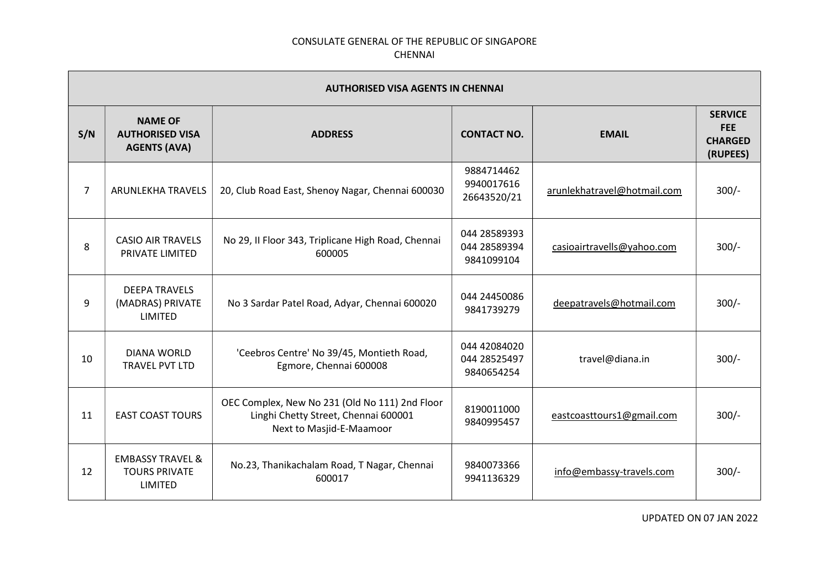| <b>AUTHORISED VISA AGENTS IN CHENNAI</b> |                                                                 |                                                                                                                    |                                            |                             |                                                            |
|------------------------------------------|-----------------------------------------------------------------|--------------------------------------------------------------------------------------------------------------------|--------------------------------------------|-----------------------------|------------------------------------------------------------|
| S/N                                      | <b>NAME OF</b><br><b>AUTHORISED VISA</b><br><b>AGENTS (AVA)</b> | <b>ADDRESS</b>                                                                                                     | <b>CONTACT NO.</b>                         | <b>EMAIL</b>                | <b>SERVICE</b><br><b>FEE</b><br><b>CHARGED</b><br>(RUPEES) |
| $\overline{7}$                           | ARUNLEKHA TRAVELS                                               | 20, Club Road East, Shenoy Nagar, Chennai 600030                                                                   | 9884714462<br>9940017616<br>26643520/21    | arunlekhatravel@hotmail.com | $300/-$                                                    |
| 8                                        | <b>CASIO AIR TRAVELS</b><br>PRIVATE LIMITED                     | No 29, II Floor 343, Triplicane High Road, Chennai<br>600005                                                       | 044 28589393<br>044 28589394<br>9841099104 | casioairtravells@yahoo.com  | $300/-$                                                    |
| 9                                        | <b>DEEPA TRAVELS</b><br>(MADRAS) PRIVATE<br><b>LIMITED</b>      | No 3 Sardar Patel Road, Adyar, Chennai 600020                                                                      | 044 24450086<br>9841739279                 | deepatravels@hotmail.com    | $300/-$                                                    |
| 10                                       | <b>DIANA WORLD</b><br>TRAVEL PVT LTD                            | 'Ceebros Centre' No 39/45, Montieth Road,<br>Egmore, Chennai 600008                                                | 044 42084020<br>044 28525497<br>9840654254 | travel@diana.in             | $300/-$                                                    |
| 11                                       | <b>EAST COAST TOURS</b>                                         | OEC Complex, New No 231 (Old No 111) 2nd Floor<br>Linghi Chetty Street, Chennai 600001<br>Next to Masjid-E-Maamoor | 8190011000<br>9840995457                   | eastcoasttours1@gmail.com   | $300/-$                                                    |
| 12                                       | <b>EMBASSY TRAVEL &amp;</b><br><b>TOURS PRIVATE</b><br>LIMITED  | No.23, Thanikachalam Road, T Nagar, Chennai<br>600017                                                              | 9840073366<br>9941136329                   | info@embassy-travels.com    | $300/-$                                                    |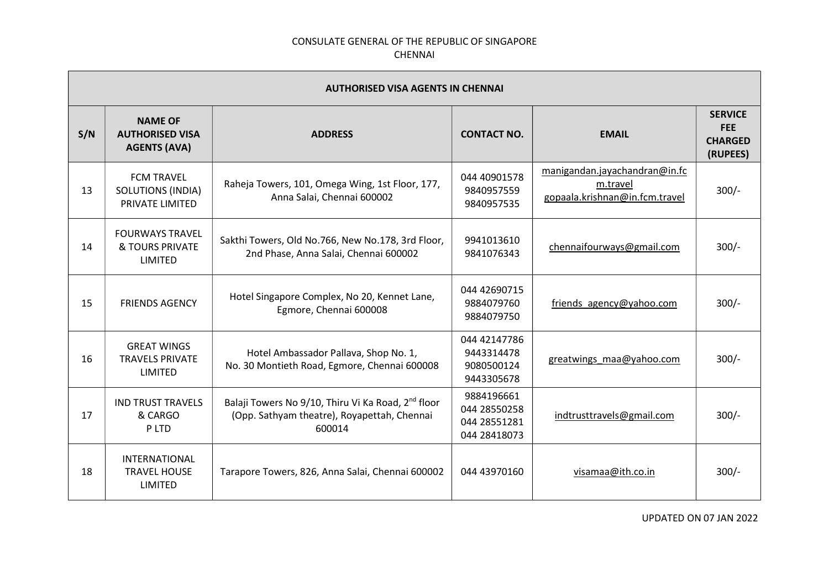|     | <b>AUTHORISED VISA AGENTS IN CHENNAI</b>                         |                                                                                                                         |                                                            |                                                                             |                                                            |  |  |
|-----|------------------------------------------------------------------|-------------------------------------------------------------------------------------------------------------------------|------------------------------------------------------------|-----------------------------------------------------------------------------|------------------------------------------------------------|--|--|
| S/N | <b>NAME OF</b><br><b>AUTHORISED VISA</b><br><b>AGENTS (AVA)</b>  | <b>ADDRESS</b>                                                                                                          | <b>CONTACT NO.</b>                                         | <b>EMAIL</b>                                                                | <b>SERVICE</b><br><b>FEE</b><br><b>CHARGED</b><br>(RUPEES) |  |  |
| 13  | <b>FCM TRAVEL</b><br><b>SOLUTIONS (INDIA)</b><br>PRIVATE LIMITED | Raheja Towers, 101, Omega Wing, 1st Floor, 177,<br>Anna Salai, Chennai 600002                                           | 044 40901578<br>9840957559<br>9840957535                   | manigandan.jayachandran@in.fc<br>m.travel<br>gopaala.krishnan@in.fcm.travel | $300/-$                                                    |  |  |
| 14  | <b>FOURWAYS TRAVEL</b><br>& TOURS PRIVATE<br>LIMITED             | Sakthi Towers, Old No.766, New No.178, 3rd Floor,<br>2nd Phase, Anna Salai, Chennai 600002                              | 9941013610<br>9841076343                                   | chennaifourways@gmail.com                                                   | $300/-$                                                    |  |  |
| 15  | <b>FRIENDS AGENCY</b>                                            | Hotel Singapore Complex, No 20, Kennet Lane,<br>Egmore, Chennai 600008                                                  | 044 42690715<br>9884079760<br>9884079750                   | friends agency@yahoo.com                                                    | $300/-$                                                    |  |  |
| 16  | <b>GREAT WINGS</b><br><b>TRAVELS PRIVATE</b><br>LIMITED          | Hotel Ambassador Pallava, Shop No. 1,<br>No. 30 Montieth Road, Egmore, Chennai 600008                                   | 044 42147786<br>9443314478<br>9080500124<br>9443305678     | greatwings maa@yahoo.com                                                    | $300/-$                                                    |  |  |
| 17  | <b>IND TRUST TRAVELS</b><br>& CARGO<br>P LTD                     | Balaji Towers No 9/10, Thiru Vi Ka Road, 2 <sup>nd</sup> floor<br>(Opp. Sathyam theatre), Royapettah, Chennai<br>600014 | 9884196661<br>044 28550258<br>044 28551281<br>044 28418073 | indtrusttravels@gmail.com                                                   | $300/-$                                                    |  |  |
| 18  | <b>INTERNATIONAL</b><br><b>TRAVEL HOUSE</b><br>LIMITED           | Tarapore Towers, 826, Anna Salai, Chennai 600002                                                                        | 044 43970160                                               | visamaa@ith.co.in                                                           | $300/-$                                                    |  |  |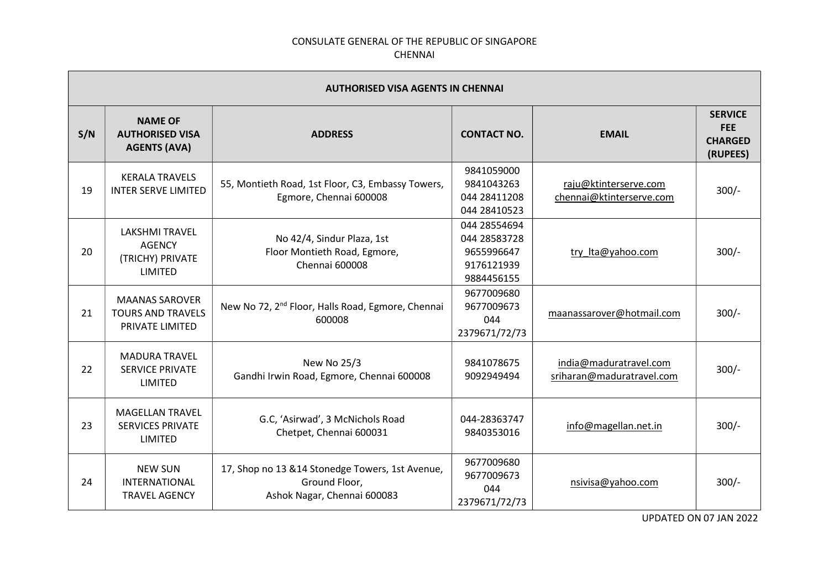| <b>AUTHORISED VISA AGENTS IN CHENNAI</b> |                                                                       |                                                                                                  |                                                                        |                                                     |                                                            |  |
|------------------------------------------|-----------------------------------------------------------------------|--------------------------------------------------------------------------------------------------|------------------------------------------------------------------------|-----------------------------------------------------|------------------------------------------------------------|--|
| S/N                                      | <b>NAME OF</b><br><b>AUTHORISED VISA</b><br><b>AGENTS (AVA)</b>       | <b>ADDRESS</b>                                                                                   | <b>CONTACT NO.</b>                                                     | <b>EMAIL</b>                                        | <b>SERVICE</b><br><b>FEE</b><br><b>CHARGED</b><br>(RUPEES) |  |
| 19                                       | <b>KERALA TRAVELS</b><br><b>INTER SERVE LIMITED</b>                   | 55, Montieth Road, 1st Floor, C3, Embassy Towers,<br>Egmore, Chennai 600008                      | 9841059000<br>9841043263<br>044 28411208<br>044 28410523               | raju@ktinterserve.com<br>chennai@ktinterserve.com   | $300/-$                                                    |  |
| 20                                       | <b>LAKSHMI TRAVEL</b><br><b>AGENCY</b><br>(TRICHY) PRIVATE<br>LIMITED | No 42/4, Sindur Plaza, 1st<br>Floor Montieth Road, Egmore,<br>Chennai 600008                     | 044 28554694<br>044 28583728<br>9655996647<br>9176121939<br>9884456155 | try Ita@yahoo.com                                   | $300/-$                                                    |  |
| 21                                       | <b>MAANAS SAROVER</b><br><b>TOURS AND TRAVELS</b><br>PRIVATE LIMITED  | New No 72, 2 <sup>nd</sup> Floor, Halls Road, Egmore, Chennai<br>600008                          | 9677009680<br>9677009673<br>044<br>2379671/72/73                       | maanassarover@hotmail.com                           | $300/-$                                                    |  |
| 22                                       | <b>MADURA TRAVEL</b><br><b>SERVICE PRIVATE</b><br>LIMITED             | New No 25/3<br>Gandhi Irwin Road, Egmore, Chennai 600008                                         | 9841078675<br>9092949494                                               | india@maduratravel.com<br>sriharan@maduratravel.com | $300/-$                                                    |  |
| 23                                       | <b>MAGELLAN TRAVEL</b><br><b>SERVICES PRIVATE</b><br>LIMITED          | G.C, 'Asirwad', 3 McNichols Road<br>Chetpet, Chennai 600031                                      | 044-28363747<br>9840353016                                             | info@magellan.net.in                                | $300/-$                                                    |  |
| 24                                       | <b>NEW SUN</b><br><b>INTERNATIONAL</b><br><b>TRAVEL AGENCY</b>        | 17, Shop no 13 & 14 Stonedge Towers, 1st Avenue,<br>Ground Floor,<br>Ashok Nagar, Chennai 600083 | 9677009680<br>9677009673<br>044<br>2379671/72/73                       | nsivisa@yahoo.com                                   | $300/-$                                                    |  |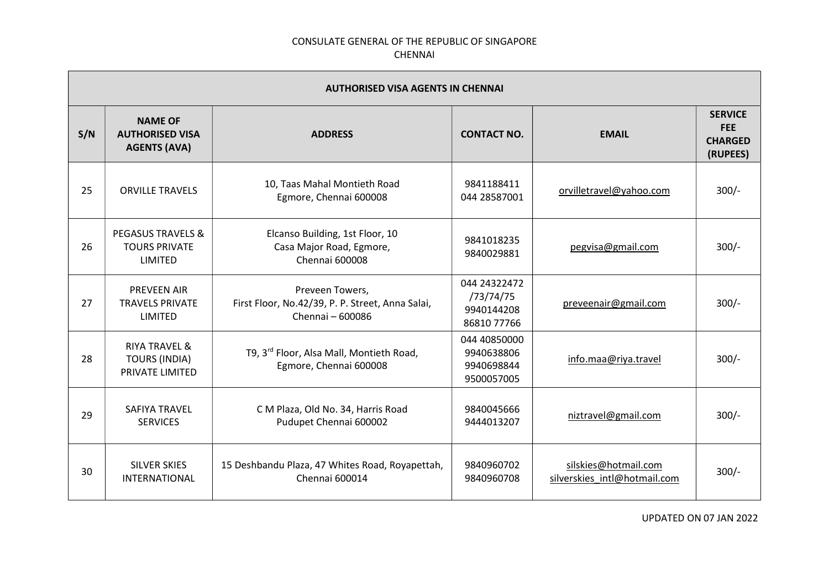| <b>AUTHORISED VISA AGENTS IN CHENNAI</b> |                                                                            |                                                                                         |                                                        |                                                      |                                                            |
|------------------------------------------|----------------------------------------------------------------------------|-----------------------------------------------------------------------------------------|--------------------------------------------------------|------------------------------------------------------|------------------------------------------------------------|
| S/N                                      | <b>NAME OF</b><br><b>AUTHORISED VISA</b><br><b>AGENTS (AVA)</b>            | <b>ADDRESS</b>                                                                          | <b>CONTACT NO.</b>                                     | <b>EMAIL</b>                                         | <b>SERVICE</b><br><b>FEE</b><br><b>CHARGED</b><br>(RUPEES) |
| 25                                       | <b>ORVILLE TRAVELS</b>                                                     | 10, Taas Mahal Montieth Road<br>Egmore, Chennai 600008                                  | 9841188411<br>044 28587001                             | orvilletravel@yahoo.com                              | $300/-$                                                    |
| 26                                       | <b>PEGASUS TRAVELS &amp;</b><br><b>TOURS PRIVATE</b><br>LIMITED            | Elcanso Building, 1st Floor, 10<br>Casa Major Road, Egmore,<br>Chennai 600008           | 9841018235<br>9840029881                               | pegvisa@gmail.com                                    | $300/-$                                                    |
| 27                                       | <b>PREVEEN AIR</b><br><b>TRAVELS PRIVATE</b><br><b>LIMITED</b>             | Preveen Towers,<br>First Floor, No.42/39, P. P. Street, Anna Salai,<br>Chennai - 600086 | 044 24322472<br>/73/74/75<br>9940144208<br>86810 77766 | preveenair@gmail.com                                 | $300/-$                                                    |
| 28                                       | <b>RIYA TRAVEL &amp;</b><br><b>TOURS (INDIA)</b><br><b>PRIVATE LIMITED</b> | T9, 3 <sup>rd</sup> Floor, Alsa Mall, Montieth Road,<br>Egmore, Chennai 600008          | 044 40850000<br>9940638806<br>9940698844<br>9500057005 | info.maa@riya.travel                                 | $300/-$                                                    |
| 29                                       | <b>SAFIYA TRAVEL</b><br><b>SERVICES</b>                                    | C M Plaza, Old No. 34, Harris Road<br>Pudupet Chennai 600002                            | 9840045666<br>9444013207                               | niztravel@gmail.com                                  | $300/-$                                                    |
| 30                                       | <b>SILVER SKIES</b><br>INTERNATIONAL                                       | 15 Deshbandu Plaza, 47 Whites Road, Royapettah,<br>Chennai 600014                       | 9840960702<br>9840960708                               | silskies@hotmail.com<br>silverskies intl@hotmail.com | $300/-$                                                    |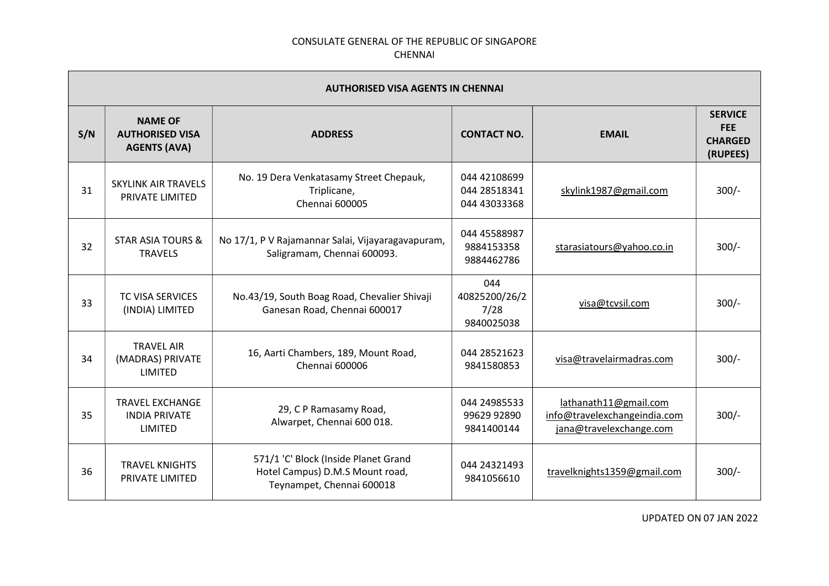|     | <b>AUTHORISED VISA AGENTS IN CHENNAI</b>                        |                                                                                                      |                                              |                                                                                  |                                                            |  |  |
|-----|-----------------------------------------------------------------|------------------------------------------------------------------------------------------------------|----------------------------------------------|----------------------------------------------------------------------------------|------------------------------------------------------------|--|--|
| S/N | <b>NAME OF</b><br><b>AUTHORISED VISA</b><br><b>AGENTS (AVA)</b> | <b>ADDRESS</b>                                                                                       | <b>CONTACT NO.</b>                           | <b>EMAIL</b>                                                                     | <b>SERVICE</b><br><b>FEE</b><br><b>CHARGED</b><br>(RUPEES) |  |  |
| 31  | <b>SKYLINK AIR TRAVELS</b><br>PRIVATE LIMITED                   | No. 19 Dera Venkatasamy Street Chepauk,<br>Triplicane,<br><b>Chennai 600005</b>                      | 044 42108699<br>044 28518341<br>044 43033368 | skylink1987@gmail.com                                                            | $300/-$                                                    |  |  |
| 32  | <b>STAR ASIA TOURS &amp;</b><br><b>TRAVELS</b>                  | No 17/1, P V Rajamannar Salai, Vijayaragavapuram,<br>Saligramam, Chennai 600093.                     | 044 45588987<br>9884153358<br>9884462786     | starasiatours@yahoo.co.in                                                        | $300/-$                                                    |  |  |
| 33  | <b>TC VISA SERVICES</b><br>(INDIA) LIMITED                      | No.43/19, South Boag Road, Chevalier Shivaji<br>Ganesan Road, Chennai 600017                         | 044<br>40825200/26/2<br>7/28<br>9840025038   | visa@tcvsil.com                                                                  | $300/-$                                                    |  |  |
| 34  | <b>TRAVEL AIR</b><br>(MADRAS) PRIVATE<br>LIMITED                | 16, Aarti Chambers, 189, Mount Road,<br>Chennai 600006                                               | 044 28521623<br>9841580853                   | visa@travelairmadras.com                                                         | $300/-$                                                    |  |  |
| 35  | <b>TRAVEL EXCHANGE</b><br><b>INDIA PRIVATE</b><br>LIMITED       | 29, C P Ramasamy Road,<br>Alwarpet, Chennai 600 018.                                                 | 044 24985533<br>99629 92890<br>9841400144    | lathanath11@gmail.com<br>info@travelexchangeindia.com<br>jana@travelexchange.com | $300/-$                                                    |  |  |
| 36  | <b>TRAVEL KNIGHTS</b><br>PRIVATE LIMITED                        | 571/1 'C' Block (Inside Planet Grand<br>Hotel Campus) D.M.S Mount road,<br>Teynampet, Chennai 600018 | 044 24321493<br>9841056610                   | travelknights1359@gmail.com                                                      | $300/-$                                                    |  |  |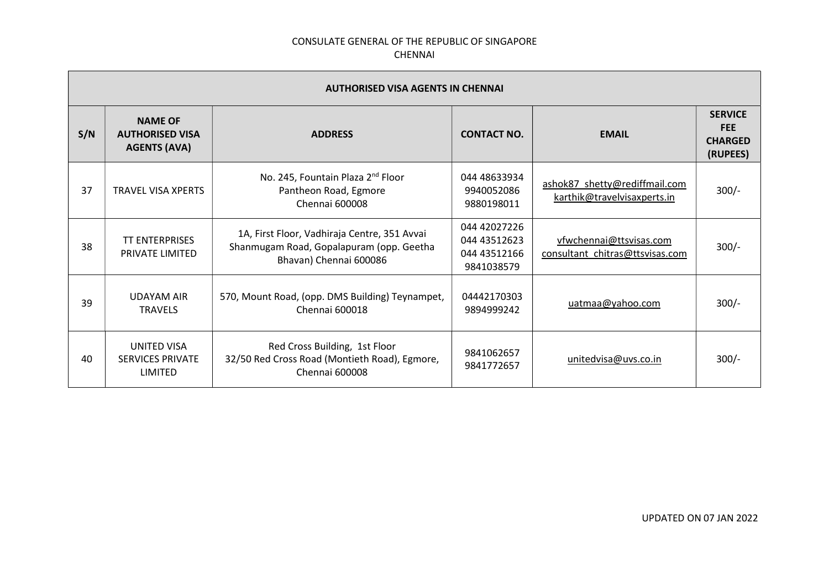| <b>AUTHORISED VISA AGENTS IN CHENNAI</b> |                                                                 |                                                                                                                    |                                                            |                                                              |                                                            |
|------------------------------------------|-----------------------------------------------------------------|--------------------------------------------------------------------------------------------------------------------|------------------------------------------------------------|--------------------------------------------------------------|------------------------------------------------------------|
| S/N                                      | <b>NAME OF</b><br><b>AUTHORISED VISA</b><br><b>AGENTS (AVA)</b> | <b>ADDRESS</b>                                                                                                     | <b>CONTACT NO.</b>                                         | <b>EMAIL</b>                                                 | <b>SERVICE</b><br><b>FEE</b><br><b>CHARGED</b><br>(RUPEES) |
| 37                                       | <b>TRAVEL VISA XPERTS</b>                                       | No. 245, Fountain Plaza 2 <sup>nd</sup> Floor<br>Pantheon Road, Egmore<br>Chennai 600008                           | 044 48633934<br>9940052086<br>9880198011                   | ashok87 shetty@rediffmail.com<br>karthik@travelvisaxperts.in | $300/-$                                                    |
| 38                                       | <b>TT ENTERPRISES</b><br>PRIVATE LIMITED                        | 1A, First Floor, Vadhiraja Centre, 351 Avvai<br>Shanmugam Road, Gopalapuram (opp. Geetha<br>Bhavan) Chennai 600086 | 044 42027226<br>044 43512623<br>044 43512166<br>9841038579 | vfwchennai@ttsvisas.com<br>consultant chitras@ttsvisas.com   | $300/-$                                                    |
| 39                                       | UDAYAM AIR<br><b>TRAVELS</b>                                    | 570, Mount Road, (opp. DMS Building) Teynampet,<br>Chennai 600018                                                  | 04442170303<br>9894999242                                  | uatmaa@yahoo.com                                             | $300/-$                                                    |
| 40                                       | <b>UNITED VISA</b><br><b>SERVICES PRIVATE</b><br>LIMITED        | Red Cross Building, 1st Floor<br>32/50 Red Cross Road (Montieth Road), Egmore,<br>Chennai 600008                   | 9841062657<br>9841772657                                   | unitedvisa@uvs.co.in                                         | $300/-$                                                    |